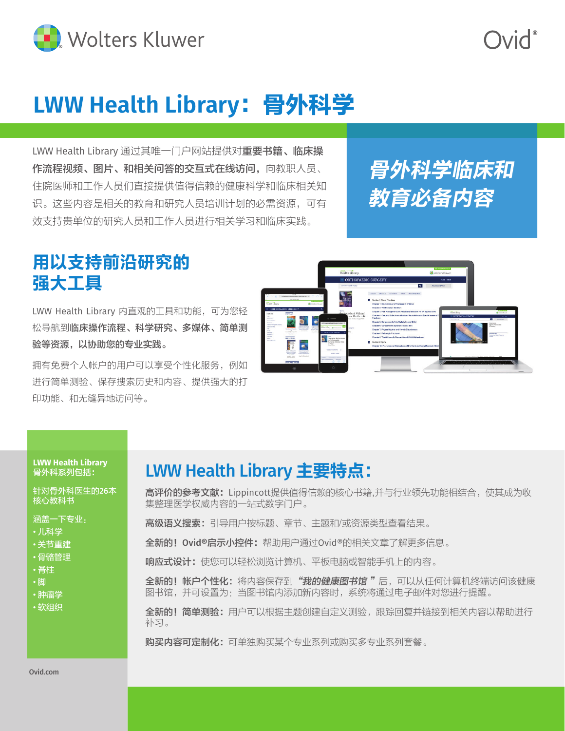

**DivC** 

## **LWW Health Library**:骨外科学

LWW Health Library 通过其唯一门户网站提供对**重要书籍、临床操** 作流程视频、图片、和相关问答的交互式在线访问,向教职人员、 住院医师和工作人员们直接提供值得信赖的健康科学和临床相关知 识。这些内容是相关的教育和研究人员培训计划的必需资源,可有 效支持贵单位的研究人员和工作人员进行相关学习和临床实践。

## 骨外科学临床和 教育必备内容

### 用以支持前沿研究的 强大工具

LWW Health Library 内直观的工具和功能,可为您轻 松导航到临床操作流程、科学研究、多媒体、简单测 验等资源,以协助您的专业实践。

拥有免费个人帐户的用户可以享受个性化服务,例如 进行简单测验、保存搜索历史和内容、提供强大的打 印功能、和无缝异地访问等。



#### **LWW Health Library**  骨外科系列包括:

针对骨外科医生的26本 核心教科书

涵盖一下专业:

- 儿科学
- 关节重建
- 骨骼管理
- 脊柱
- 脚
- 肿瘤学
- 软组织

### LWW Health Library 主要特点:

高评价的参考文献: Lippincott提供值得信赖的核心书籍,并与行业领先功能相结合,使其成为收 集整理医学权威内容的一站式数字门户。

高级语义搜索: 引导用户按标题、章节、主题和/或资源类型查看结果。

- 全新的!Ovid**®**启示小控件:帮助用户通过Ovid®的相关文章了解更多信息。
- 响应式设计: 使您可以轻松浏览计算机、平板电脑或智能手机上的内容。

全新的!帐户个性化:将内容保存到"我的健康图书馆"后,可以从任何计算机终端访问该健康 图书馆,并可设置为:当图书馆内添加新内容时,系统将通过电子邮件对您进行提醒。

全新的!简单测验:用户可以根据主题创建自定义测验,跟踪回复并链接到相关内容以帮助进行 补习。

购买内容可定制化:可单独购买某个专业系列或购买多专业系列套餐。